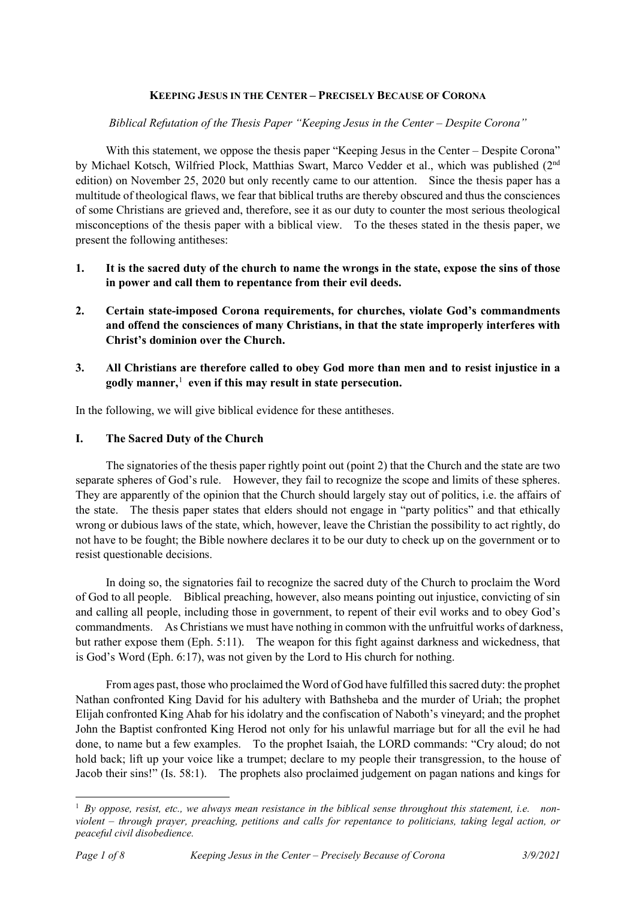## **KEEPING JESUS IN THE CENTER – PRECISELY BECAUSE OF CORONA**

## *Biblical Refutation of the Thesis Paper "Keeping Jesus in the Center – Despite Corona"*

With this statement, we oppose the thesis paper "Keeping Jesus in the Center – Despite Corona" by Michael Kotsch, Wilfried Plock, Matthias Swart, Marco Vedder et al., which was published (2nd edition) on November 25, 2020 but only recently came to our attention. Since the thesis paper has a multitude of theological flaws, we fear that biblical truths are thereby obscured and thus the consciences of some Christians are grieved and, therefore, see it as our duty to counter the most serious theological misconceptions of the thesis paper with a biblical view. To the theses stated in the thesis paper, we present the following antitheses:

- **1. It is the sacred duty of the church to name the wrongs in the state, expose the sins of those in power and call them to repentance from their evil deeds.**
- **2. Certain state-imposed Corona requirements, for churches, violate God's commandments and offend the consciences of many Christians, in that the state improperly interferes with Christ's dominion over the Church.**
- **3. All Christians are therefore called to obey God more than men and to resist injustice in a godly manner,**[1](#page-0-0) **even if this may result in state persecution.**

In the following, we will give biblical evidence for these antitheses.

## **I. The Sacred Duty of the Church**

The signatories of the thesis paper rightly point out (point 2) that the Church and the state are two separate spheres of God's rule. However, they fail to recognize the scope and limits of these spheres. They are apparently of the opinion that the Church should largely stay out of politics, i.e. the affairs of the state. The thesis paper states that elders should not engage in "party politics" and that ethically wrong or dubious laws of the state, which, however, leave the Christian the possibility to act rightly, do not have to be fought; the Bible nowhere declares it to be our duty to check up on the government or to resist questionable decisions.

In doing so, the signatories fail to recognize the sacred duty of the Church to proclaim the Word of God to all people. Biblical preaching, however, also means pointing out injustice, convicting of sin and calling all people, including those in government, to repent of their evil works and to obey God's commandments. As Christians we must have nothing in common with the unfruitful works of darkness, but rather expose them (Eph. 5:11). The weapon for this fight against darkness and wickedness, that is God's Word (Eph. 6:17), was not given by the Lord to His church for nothing.

From ages past, those who proclaimed the Word of God have fulfilled this sacred duty: the prophet Nathan confronted King David for his adultery with Bathsheba and the murder of Uriah; the prophet Elijah confronted King Ahab for his idolatry and the confiscation of Naboth's vineyard; and the prophet John the Baptist confronted King Herod not only for his unlawful marriage but for all the evil he had done, to name but a few examples. To the prophet Isaiah, the LORD commands: "Cry aloud; do not hold back; lift up your voice like a trumpet; declare to my people their transgression, to the house of Jacob their sins!" (Is. 58:1). The prophets also proclaimed judgement on pagan nations and kings for

 $\overline{a}$ 

<span id="page-0-0"></span><sup>1</sup> *By oppose, resist, etc., we always mean resistance in the biblical sense throughout this statement, i.e. nonviolent – through prayer, preaching, petitions and calls for repentance to politicians, taking legal action, or peaceful civil disobedience.*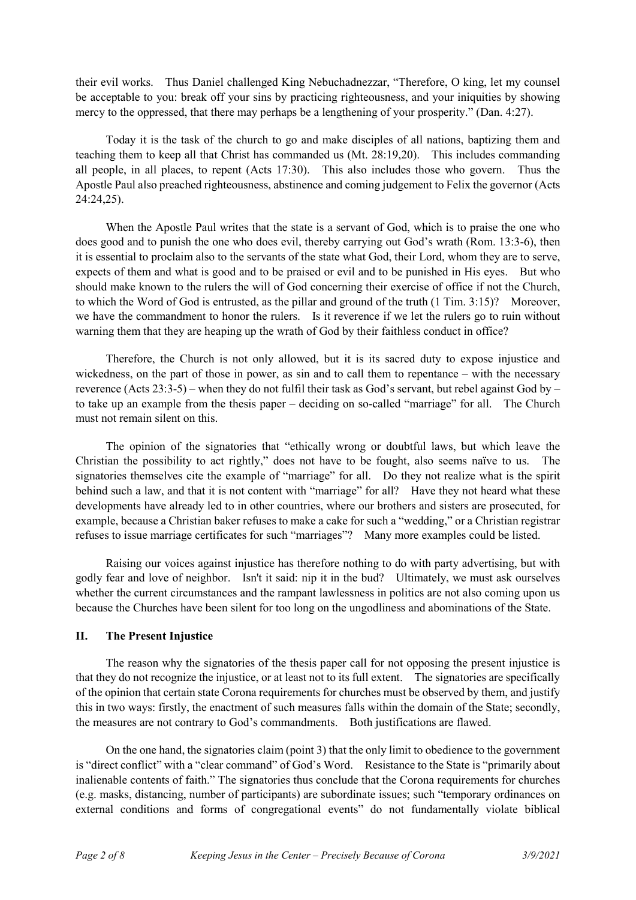their evil works. Thus Daniel challenged King Nebuchadnezzar, "Therefore, O king, let my counsel be acceptable to you: break off your sins by practicing righteousness, and your iniquities by showing mercy to the oppressed, that there may perhaps be a lengthening of your prosperity." (Dan. 4:27).

Today it is the task of the church to go and make disciples of all nations, baptizing them and teaching them to keep all that Christ has commanded us (Mt. 28:19,20). This includes commanding all people, in all places, to repent (Acts 17:30). This also includes those who govern. Thus the Apostle Paul also preached righteousness, abstinence and coming judgement to Felix the governor (Acts 24:24,25).

When the Apostle Paul writes that the state is a servant of God, which is to praise the one who does good and to punish the one who does evil, thereby carrying out God's wrath (Rom. 13:3-6), then it is essential to proclaim also to the servants of the state what God, their Lord, whom they are to serve, expects of them and what is good and to be praised or evil and to be punished in His eyes. But who should make known to the rulers the will of God concerning their exercise of office if not the Church, to which the Word of God is entrusted, as the pillar and ground of the truth (1 Tim. 3:15)? Moreover, we have the commandment to honor the rulers. Is it reverence if we let the rulers go to ruin without warning them that they are heaping up the wrath of God by their faithless conduct in office?

Therefore, the Church is not only allowed, but it is its sacred duty to expose injustice and wickedness, on the part of those in power, as sin and to call them to repentance – with the necessary reverence (Acts 23:3-5) – when they do not fulfil their task as God's servant, but rebel against God by – to take up an example from the thesis paper – deciding on so-called "marriage" for all. The Church must not remain silent on this.

The opinion of the signatories that "ethically wrong or doubtful laws, but which leave the Christian the possibility to act rightly," does not have to be fought, also seems naïve to us. The signatories themselves cite the example of "marriage" for all. Do they not realize what is the spirit behind such a law, and that it is not content with "marriage" for all? Have they not heard what these developments have already led to in other countries, where our brothers and sisters are prosecuted, for example, because a Christian baker refuses to make a cake for such a "wedding," or a Christian registrar refuses to issue marriage certificates for such "marriages"? Many more examples could be listed.

Raising our voices against injustice has therefore nothing to do with party advertising, but with godly fear and love of neighbor. Isn't it said: nip it in the bud? Ultimately, we must ask ourselves whether the current circumstances and the rampant lawlessness in politics are not also coming upon us because the Churches have been silent for too long on the ungodliness and abominations of the State.

## **II. The Present Injustice**

The reason why the signatories of the thesis paper call for not opposing the present injustice is that they do not recognize the injustice, or at least not to its full extent. The signatories are specifically of the opinion that certain state Corona requirements for churches must be observed by them, and justify this in two ways: firstly, the enactment of such measures falls within the domain of the State; secondly, the measures are not contrary to God's commandments. Both justifications are flawed.

On the one hand, the signatories claim (point 3) that the only limit to obedience to the government is "direct conflict" with a "clear command" of God's Word. Resistance to the State is "primarily about inalienable contents of faith." The signatories thus conclude that the Corona requirements for churches (e.g. masks, distancing, number of participants) are subordinate issues; such "temporary ordinances on external conditions and forms of congregational events" do not fundamentally violate biblical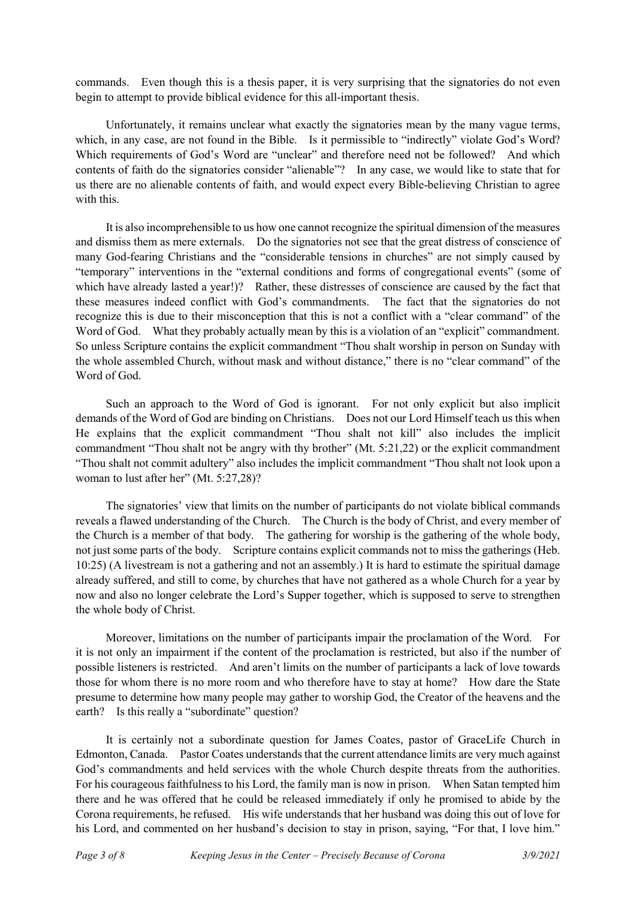commands. Even though this is a thesis paper, it is very surprising that the signatories do not even begin to attempt to provide biblical evidence for this all-important thesis.

Unfortunately, it remains unclear what exactly the signatories mean by the many vague terms, which, in any case, are not found in the Bible. Is it permissible to "indirectly" violate God's Word? Which requirements of God's Word are "unclear" and therefore need not be followed? And which contents of faith do the signatories consider "alienable"? In any case, we would like to state that for us there are no alienable contents of faith, and would expect every Bible-believing Christian to agree with this.

It is also incomprehensible to us how one cannot recognize the spiritual dimension of the measures and dismiss them as mere externals. Do the signatories not see that the great distress of conscience of many God-fearing Christians and the "considerable tensions in churches" are not simply caused by "temporary" interventions in the "external conditions and forms of congregational events" (some of which have already lasted a year!)? Rather, these distresses of conscience are caused by the fact that these measures indeed conflict with God's commandments. The fact that the signatories do not recognize this is due to their misconception that this is not a conflict with a "clear command" of the Word of God. What they probably actually mean by this is a violation of an "explicit" commandment. So unless Scripture contains the explicit commandment "Thou shalt worship in person on Sunday with the whole assembled Church, without mask and without distance," there is no "clear command" of the Word of God.

Such an approach to the Word of God is ignorant. For not only explicit but also implicit demands of the Word of God are binding on Christians. Does not our Lord Himself teach us this when He explains that the explicit commandment "Thou shalt not kill" also includes the implicit commandment "Thou shalt not be angry with thy brother" (Mt. 5:21,22) or the explicit commandment "Thou shalt not commit adultery" also includes the implicit commandment "Thou shalt not look upon a woman to lust after her" (Mt. 5:27,28)?

The signatories' view that limits on the number of participants do not violate biblical commands reveals a flawed understanding of the Church. The Church is the body of Christ, and every member of the Church is a member of that body. The gathering for worship is the gathering of the whole body, not just some parts of the body. Scripture contains explicit commands not to miss the gatherings (Heb. 10:25) (A livestream is not a gathering and not an assembly.) It is hard to estimate the spiritual damage already suffered, and still to come, by churches that have not gathered as a whole Church for a year by now and also no longer celebrate the Lord's Supper together, which is supposed to serve to strengthen the whole body of Christ.

Moreover, limitations on the number of participants impair the proclamation of the Word. For it is not only an impairment if the content of the proclamation is restricted, but also if the number of possible listeners is restricted. And aren't limits on the number of participants a lack of love towards those for whom there is no more room and who therefore have to stay at home? How dare the State presume to determine how many people may gather to worship God, the Creator of the heavens and the earth? Is this really a "subordinate" question?

It is certainly not a subordinate question for James Coates, pastor of GraceLife Church in Edmonton, Canada. Pastor Coates understands that the current attendance limits are very much against God's commandments and held services with the whole Church despite threats from the authorities. For his courageous faithfulness to his Lord, the family man is now in prison. When Satan tempted him there and he was offered that he could be released immediately if only he promised to abide by the Corona requirements, he refused. His wife understands that her husband was doing this out of love for his Lord, and commented on her husband's decision to stay in prison, saying, "For that, I love him."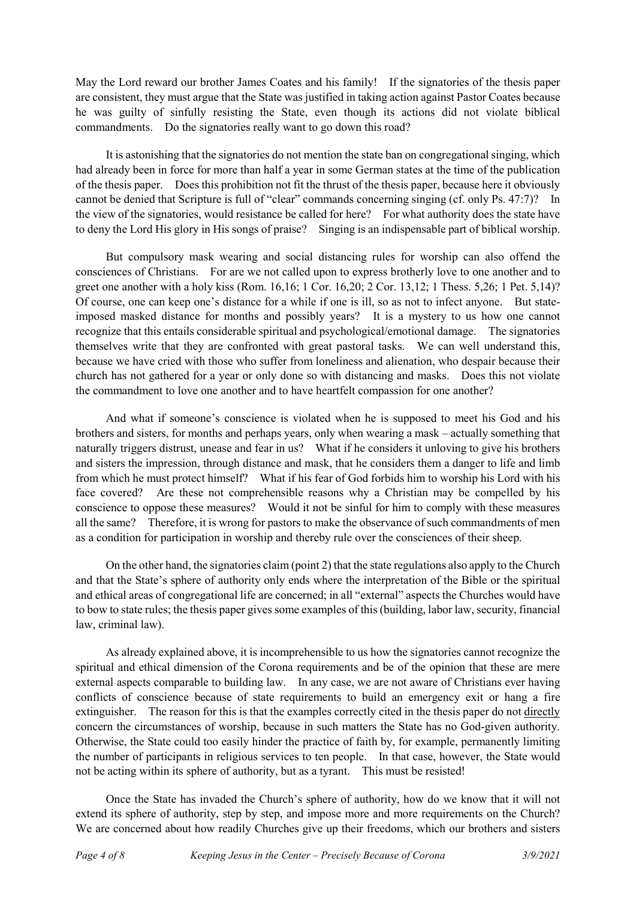May the Lord reward our brother James Coates and his family! If the signatories of the thesis paper are consistent, they must argue that the State was justified in taking action against Pastor Coates because he was guilty of sinfully resisting the State, even though its actions did not violate biblical commandments. Do the signatories really want to go down this road?

It is astonishing that the signatories do not mention the state ban on congregational singing, which had already been in force for more than half a year in some German states at the time of the publication of the thesis paper. Does this prohibition not fit the thrust of the thesis paper, because here it obviously cannot be denied that Scripture is full of "clear" commands concerning singing (cf. only Ps. 47:7)? In the view of the signatories, would resistance be called for here? For what authority does the state have to deny the Lord His glory in His songs of praise? Singing is an indispensable part of biblical worship.

But compulsory mask wearing and social distancing rules for worship can also offend the consciences of Christians. For are we not called upon to express brotherly love to one another and to greet one another with a holy kiss (Rom. 16,16; 1 Cor. 16,20; 2 Cor. 13,12; 1 Thess. 5,26; 1 Pet. 5,14)? Of course, one can keep one's distance for a while if one is ill, so as not to infect anyone. But stateimposed masked distance for months and possibly years? It is a mystery to us how one cannot recognize that this entails considerable spiritual and psychological/emotional damage. The signatories themselves write that they are confronted with great pastoral tasks. We can well understand this, because we have cried with those who suffer from loneliness and alienation, who despair because their church has not gathered for a year or only done so with distancing and masks. Does this not violate the commandment to love one another and to have heartfelt compassion for one another?

And what if someone's conscience is violated when he is supposed to meet his God and his brothers and sisters, for months and perhaps years, only when wearing a mask – actually something that naturally triggers distrust, unease and fear in us? What if he considers it unloving to give his brothers and sisters the impression, through distance and mask, that he considers them a danger to life and limb from which he must protect himself? What if his fear of God forbids him to worship his Lord with his face covered? Are these not comprehensible reasons why a Christian may be compelled by his conscience to oppose these measures? Would it not be sinful for him to comply with these measures all the same? Therefore, it is wrong for pastors to make the observance of such commandments of men as a condition for participation in worship and thereby rule over the consciences of their sheep.

On the other hand, the signatories claim (point 2) that the state regulations also apply to the Church and that the State's sphere of authority only ends where the interpretation of the Bible or the spiritual and ethical areas of congregational life are concerned; in all "external" aspects the Churches would have to bow to state rules; the thesis paper gives some examples of this (building, labor law, security, financial law, criminal law).

As already explained above, it is incomprehensible to us how the signatories cannot recognize the spiritual and ethical dimension of the Corona requirements and be of the opinion that these are mere external aspects comparable to building law. In any case, we are not aware of Christians ever having conflicts of conscience because of state requirements to build an emergency exit or hang a fire extinguisher. The reason for this is that the examples correctly cited in the thesis paper do not directly concern the circumstances of worship, because in such matters the State has no God-given authority. Otherwise, the State could too easily hinder the practice of faith by, for example, permanently limiting the number of participants in religious services to ten people. In that case, however, the State would not be acting within its sphere of authority, but as a tyrant. This must be resisted!

Once the State has invaded the Church's sphere of authority, how do we know that it will not extend its sphere of authority, step by step, and impose more and more requirements on the Church? We are concerned about how readily Churches give up their freedoms, which our brothers and sisters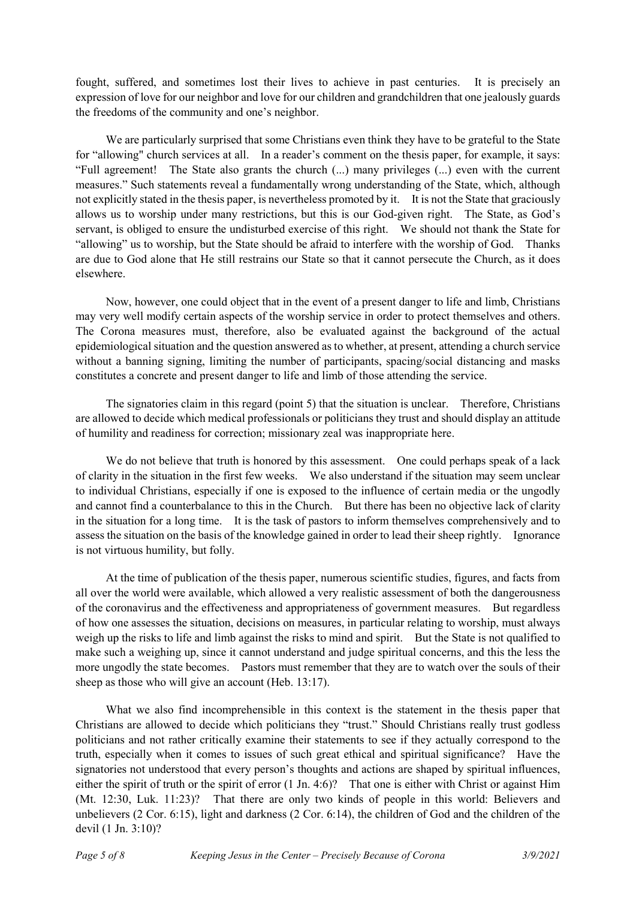fought, suffered, and sometimes lost their lives to achieve in past centuries. It is precisely an expression of love for our neighbor and love for our children and grandchildren that one jealously guards the freedoms of the community and one's neighbor.

We are particularly surprised that some Christians even think they have to be grateful to the State for "allowing" church services at all. In a reader's comment on the thesis paper, for example, it says: "Full agreement! The State also grants the church (...) many privileges (...) even with the current measures." Such statements reveal a fundamentally wrong understanding of the State, which, although not explicitly stated in the thesis paper, is nevertheless promoted by it. It is not the State that graciously allows us to worship under many restrictions, but this is our God-given right. The State, as God's servant, is obliged to ensure the undisturbed exercise of this right. We should not thank the State for "allowing" us to worship, but the State should be afraid to interfere with the worship of God. Thanks are due to God alone that He still restrains our State so that it cannot persecute the Church, as it does elsewhere.

Now, however, one could object that in the event of a present danger to life and limb, Christians may very well modify certain aspects of the worship service in order to protect themselves and others. The Corona measures must, therefore, also be evaluated against the background of the actual epidemiological situation and the question answered as to whether, at present, attending a church service without a banning signing, limiting the number of participants, spacing/social distancing and masks constitutes a concrete and present danger to life and limb of those attending the service.

The signatories claim in this regard (point 5) that the situation is unclear. Therefore, Christians are allowed to decide which medical professionals or politicians they trust and should display an attitude of humility and readiness for correction; missionary zeal was inappropriate here.

We do not believe that truth is honored by this assessment. One could perhaps speak of a lack of clarity in the situation in the first few weeks. We also understand if the situation may seem unclear to individual Christians, especially if one is exposed to the influence of certain media or the ungodly and cannot find a counterbalance to this in the Church. But there has been no objective lack of clarity in the situation for a long time. It is the task of pastors to inform themselves comprehensively and to assess the situation on the basis of the knowledge gained in order to lead their sheep rightly. Ignorance is not virtuous humility, but folly.

At the time of publication of the thesis paper, numerous scientific studies, figures, and facts from all over the world were available, which allowed a very realistic assessment of both the dangerousness of the coronavirus and the effectiveness and appropriateness of government measures. But regardless of how one assesses the situation, decisions on measures, in particular relating to worship, must always weigh up the risks to life and limb against the risks to mind and spirit. But the State is not qualified to make such a weighing up, since it cannot understand and judge spiritual concerns, and this the less the more ungodly the state becomes. Pastors must remember that they are to watch over the souls of their sheep as those who will give an account (Heb. 13:17).

What we also find incomprehensible in this context is the statement in the thesis paper that Christians are allowed to decide which politicians they "trust." Should Christians really trust godless politicians and not rather critically examine their statements to see if they actually correspond to the truth, especially when it comes to issues of such great ethical and spiritual significance? Have the signatories not understood that every person's thoughts and actions are shaped by spiritual influences, either the spirit of truth or the spirit of error (1 Jn. 4:6)? That one is either with Christ or against Him (Mt. 12:30, Luk. 11:23)? That there are only two kinds of people in this world: Believers and unbelievers (2 Cor. 6:15), light and darkness (2 Cor. 6:14), the children of God and the children of the devil (1 Jn. 3:10)?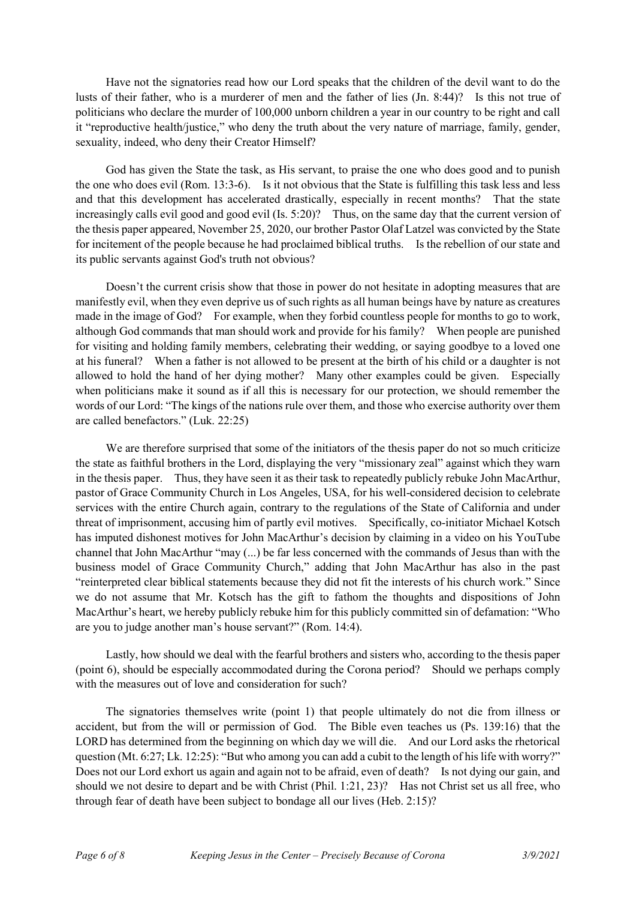Have not the signatories read how our Lord speaks that the children of the devil want to do the lusts of their father, who is a murderer of men and the father of lies (Jn. 8:44)? Is this not true of politicians who declare the murder of 100,000 unborn children a year in our country to be right and call it "reproductive health/justice," who deny the truth about the very nature of marriage, family, gender, sexuality, indeed, who deny their Creator Himself?

God has given the State the task, as His servant, to praise the one who does good and to punish the one who does evil (Rom. 13:3-6). Is it not obvious that the State is fulfilling this task less and less and that this development has accelerated drastically, especially in recent months? That the state increasingly calls evil good and good evil (Is. 5:20)? Thus, on the same day that the current version of the thesis paper appeared, November 25, 2020, our brother Pastor Olaf Latzel was convicted by the State for incitement of the people because he had proclaimed biblical truths. Is the rebellion of our state and its public servants against God's truth not obvious?

Doesn't the current crisis show that those in power do not hesitate in adopting measures that are manifestly evil, when they even deprive us of such rights as all human beings have by nature as creatures made in the image of God? For example, when they forbid countless people for months to go to work, although God commands that man should work and provide for his family? When people are punished for visiting and holding family members, celebrating their wedding, or saying goodbye to a loved one at his funeral? When a father is not allowed to be present at the birth of his child or a daughter is not allowed to hold the hand of her dying mother? Many other examples could be given. Especially when politicians make it sound as if all this is necessary for our protection, we should remember the words of our Lord: "The kings of the nations rule over them, and those who exercise authority over them are called benefactors." (Luk. 22:25)

We are therefore surprised that some of the initiators of the thesis paper do not so much criticize the state as faithful brothers in the Lord, displaying the very "missionary zeal" against which they warn in the thesis paper. Thus, they have seen it as their task to repeatedly publicly rebuke John MacArthur, pastor of Grace Community Church in Los Angeles, USA, for his well-considered decision to celebrate services with the entire Church again, contrary to the regulations of the State of California and under threat of imprisonment, accusing him of partly evil motives. Specifically, co-initiator Michael Kotsch has imputed dishonest motives for John MacArthur's decision by claiming in a video on his YouTube channel that John MacArthur "may (...) be far less concerned with the commands of Jesus than with the business model of Grace Community Church," adding that John MacArthur has also in the past "reinterpreted clear biblical statements because they did not fit the interests of his church work." Since we do not assume that Mr. Kotsch has the gift to fathom the thoughts and dispositions of John MacArthur's heart, we hereby publicly rebuke him for this publicly committed sin of defamation: "Who are you to judge another man's house servant?" (Rom. 14:4).

Lastly, how should we deal with the fearful brothers and sisters who, according to the thesis paper (point 6), should be especially accommodated during the Corona period? Should we perhaps comply with the measures out of love and consideration for such?

The signatories themselves write (point 1) that people ultimately do not die from illness or accident, but from the will or permission of God. The Bible even teaches us (Ps. 139:16) that the LORD has determined from the beginning on which day we will die. And our Lord asks the rhetorical question (Mt. 6:27; Lk. 12:25): "But who among you can add a cubit to the length of his life with worry?" Does not our Lord exhort us again and again not to be afraid, even of death? Is not dying our gain, and should we not desire to depart and be with Christ (Phil. 1:21, 23)? Has not Christ set us all free, who through fear of death have been subject to bondage all our lives (Heb. 2:15)?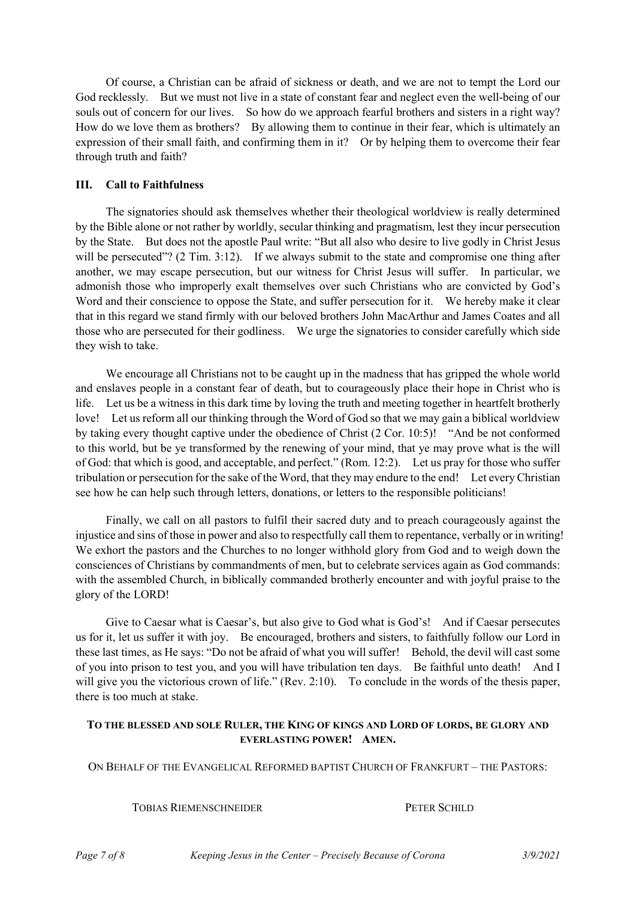Of course, a Christian can be afraid of sickness or death, and we are not to tempt the Lord our God recklessly. But we must not live in a state of constant fear and neglect even the well-being of our souls out of concern for our lives. So how do we approach fearful brothers and sisters in a right way? How do we love them as brothers? By allowing them to continue in their fear, which is ultimately an expression of their small faith, and confirming them in it? Or by helping them to overcome their fear through truth and faith?

## **III. Call to Faithfulness**

The signatories should ask themselves whether their theological worldview is really determined by the Bible alone or not rather by worldly, secular thinking and pragmatism, lest they incur persecution by the State. But does not the apostle Paul write: "But all also who desire to live godly in Christ Jesus will be persecuted"? (2 Tim. 3:12). If we always submit to the state and compromise one thing after another, we may escape persecution, but our witness for Christ Jesus will suffer. In particular, we admonish those who improperly exalt themselves over such Christians who are convicted by God's Word and their conscience to oppose the State, and suffer persecution for it. We hereby make it clear that in this regard we stand firmly with our beloved brothers John MacArthur and James Coates and all those who are persecuted for their godliness. We urge the signatories to consider carefully which side they wish to take.

We encourage all Christians not to be caught up in the madness that has gripped the whole world and enslaves people in a constant fear of death, but to courageously place their hope in Christ who is life. Let us be a witness in this dark time by loving the truth and meeting together in heartfelt brotherly love! Let us reform all our thinking through the Word of God so that we may gain a biblical worldview by taking every thought captive under the obedience of Christ (2 Cor. 10:5)! "And be not conformed to this world, but be ye transformed by the renewing of your mind, that ye may prove what is the will of God: that which is good, and acceptable, and perfect." (Rom. 12:2). Let us pray for those who suffer tribulation or persecution for the sake of the Word, that they may endure to the end! Let every Christian see how he can help such through letters, donations, or letters to the responsible politicians!

Finally, we call on all pastors to fulfil their sacred duty and to preach courageously against the injustice and sins of those in power and also to respectfully call them to repentance, verbally or in writing! We exhort the pastors and the Churches to no longer withhold glory from God and to weigh down the consciences of Christians by commandments of men, but to celebrate services again as God commands: with the assembled Church, in biblically commanded brotherly encounter and with joyful praise to the glory of the LORD!

Give to Caesar what is Caesar's, but also give to God what is God's! And if Caesar persecutes us for it, let us suffer it with joy. Be encouraged, brothers and sisters, to faithfully follow our Lord in these last times, as He says: "Do not be afraid of what you will suffer! Behold, the devil will cast some of you into prison to test you, and you will have tribulation ten days. Be faithful unto death! And I will give you the victorious crown of life." (Rev. 2:10). To conclude in the words of the thesis paper, there is too much at stake.

# **TO THE BLESSED AND SOLE RULER, THE KING OF KINGS AND LORD OF LORDS, BE GLORY AND EVERLASTING POWER! AMEN.**

ON BEHALF OF THE EVANGELICAL REFORMED BAPTIST CHURCH OF FRANKFURT – THE PASTORS:

**TOBIAS RIEMENSCHNEIDER PETER SCHILD**